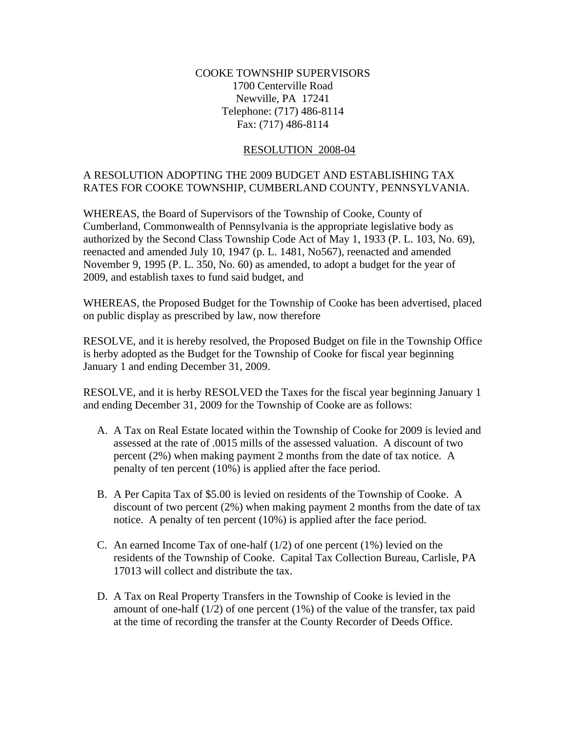## COOKE TOWNSHIP SUPERVISORS 1700 Centerville Road Newville, PA 17241 Telephone: (717) 486-8114 Fax: (717) 486-8114

## RESOLUTION 2008-04

## A RESOLUTION ADOPTING THE 2009 BUDGET AND ESTABLISHING TAX RATES FOR COOKE TOWNSHIP, CUMBERLAND COUNTY, PENNSYLVANIA.

WHEREAS, the Board of Supervisors of the Township of Cooke, County of Cumberland, Commonwealth of Pennsylvania is the appropriate legislative body as authorized by the Second Class Township Code Act of May 1, 1933 (P. L. 103, No. 69), reenacted and amended July 10, 1947 (p. L. 1481, No567), reenacted and amended November 9, 1995 (P. L. 350, No. 60) as amended, to adopt a budget for the year of 2009, and establish taxes to fund said budget, and

WHEREAS, the Proposed Budget for the Township of Cooke has been advertised, placed on public display as prescribed by law, now therefore

RESOLVE, and it is hereby resolved, the Proposed Budget on file in the Township Office is herby adopted as the Budget for the Township of Cooke for fiscal year beginning January 1 and ending December 31, 2009.

RESOLVE, and it is herby RESOLVED the Taxes for the fiscal year beginning January 1 and ending December 31, 2009 for the Township of Cooke are as follows:

- A. A Tax on Real Estate located within the Township of Cooke for 2009 is levied and assessed at the rate of .0015 mills of the assessed valuation. A discount of two percent (2%) when making payment 2 months from the date of tax notice. A penalty of ten percent (10%) is applied after the face period.
- B. A Per Capita Tax of \$5.00 is levied on residents of the Township of Cooke. A discount of two percent (2%) when making payment 2 months from the date of tax notice. A penalty of ten percent (10%) is applied after the face period.
- C. An earned Income Tax of one-half  $(1/2)$  of one percent  $(1%)$  levied on the residents of the Township of Cooke. Capital Tax Collection Bureau, Carlisle, PA 17013 will collect and distribute the tax.
- D. A Tax on Real Property Transfers in the Township of Cooke is levied in the amount of one-half  $(1/2)$  of one percent  $(1%)$  of the value of the transfer, tax paid at the time of recording the transfer at the County Recorder of Deeds Office.